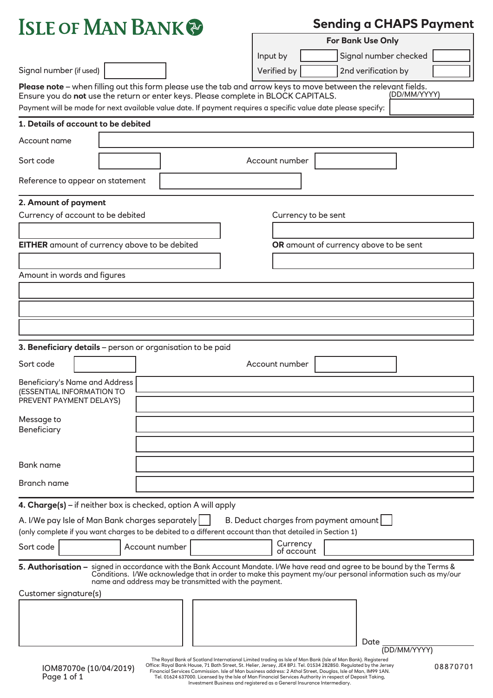

Bank name

Branch name

**4. Charge(s)** – if neither box is checked, option A will apply

|           | A. I/We pay Isle of Man Bank charges separately |                                                                                                          |                        | B. Deduct charges from payment amount |
|-----------|-------------------------------------------------|----------------------------------------------------------------------------------------------------------|------------------------|---------------------------------------|
|           |                                                 | (only complete if you want charges to be debited to a different account than that detailed in Section 1) |                        |                                       |
| Sort code | Account number                                  |                                                                                                          | Currency<br>of account |                                       |
|           |                                                 |                                                                                                          |                        |                                       |

#### **5. Authorisation –**  signed in accordance with the Bank Account Mandate. I/We have read and agree to be bound by the Terms & Customer signature(s) Conditions. I/We acknowledge that in order to make this payment my/our personal information such as my/our name and address may be transmitted with the payment.

| . . |      |
|-----|------|
|     |      |
|     |      |
|     |      |
|     |      |
|     |      |
|     |      |
|     | Date |

The Royal Bank of Scotland International Limited trading as Isle of Man Bank (Isle of Man Bank). Registered Office: Royal Bank House, 71 Bath Street, St. Helier, Jersey, JE4 8PJ. Tel. 01534 282850. Regulated by the Jersey Financial Services Commission. Isle of Man business address: 2 Athol Street, Douglas, Isle of Man, IM99 1AN. Tel. 01624 637000. Licensed by the Isle of Man Financial Services Authority in respect of Deposit Taking, Investment Business and registered as a General Insurance Intermediary.

(DD/MM/YYYY)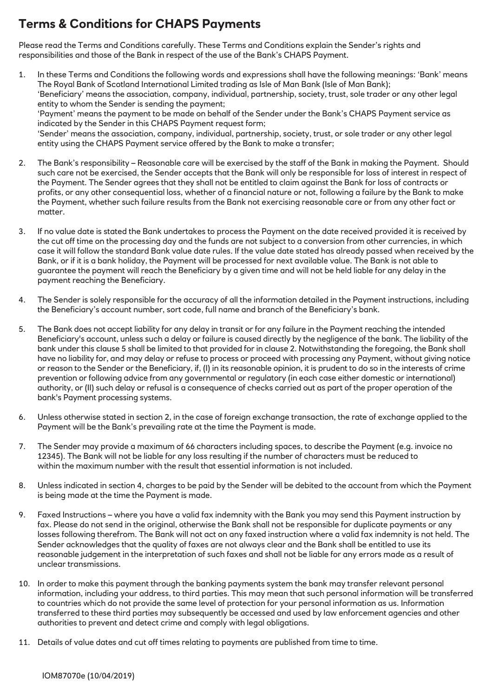# **Terms & Conditions for CHAPS Payments**

Please read the Terms and Conditions carefully. These Terms and Conditions explain the Sender's rights and responsibilities and those of the Bank in respect of the use of the Bank's CHAPS Payment.

- 1. In these Terms and Conditions the following words and expressions shall have the following meanings: 'Bank' means The Royal Bank of Scotland International Limited trading as Isle of Man Bank (Isle of Man Bank); 'Beneficiary' means the association, company, individual, partnership, society, trust, sole trader or any other legal entity to whom the Sender is sending the payment; 'Payment' means the payment to be made on behalf of the Sender under the Bank's CHAPS Payment service as indicated by the Sender in this CHAPS Payment request form; 'Sender' means the association, company, individual, partnership, society, trust, or sole trader or any other legal entity using the CHAPS Payment service offered by the Bank to make a transfer;
- 2. The Bank's responsibility Reasonable care will be exercised by the staff of the Bank in making the Payment. Should such care not be exercised, the Sender accepts that the Bank will only be responsible for loss of interest in respect of the Payment. The Sender agrees that they shall not be entitled to claim against the Bank for loss of contracts or profits, or any other consequential loss, whether of a financial nature or not, following a failure by the Bank to make the Payment, whether such failure results from the Bank not exercising reasonable care or from any other fact or matter.
- 3. If no value date is stated the Bank undertakes to process the Payment on the date received provided it is received by the cut off time on the processing day and the funds are not subject to a conversion from other currencies, in which case it will follow the standard Bank value date rules. If the value date stated has already passed when received by the Bank, or if it is a bank holiday, the Payment will be processed for next available value. The Bank is not able to guarantee the payment will reach the Beneficiary by a given time and will not be held liable for any delay in the payment reaching the Beneficiary.
- 4. The Sender is solely responsible for the accuracy of all the information detailed in the Payment instructions, including the Beneficiary's account number, sort code, full name and branch of the Beneficiary's bank.
- 5. The Bank does not accept liability for any delay in transit or for any failure in the Payment reaching the intended Beneficiary's account, unless such a delay or failure is caused directly by the negligence of the bank. The liability of the bank under this clause 5 shall be limited to that provided for in clause 2. Notwithstanding the foregoing, the Bank shall have no liability for, and may delay or refuse to process or proceed with processing any Payment, without giving notice or reason to the Sender or the Beneficiary, if, (I) in its reasonable opinion, it is prudent to do so in the interests of crime prevention or following advice from any governmental or regulatory (in each case either domestic or international) authority, or (II) such delay or refusal is a consequence of checks carried out as part of the proper operation of the bank's Payment processing systems.
- 6. Unless otherwise stated in section 2, in the case of foreign exchange transaction, the rate of exchange applied to the Payment will be the Bank's prevailing rate at the time the Payment is made.
- 7. The Sender may provide a maximum of 66 characters including spaces, to describe the Payment (e.g. invoice no 12345). The Bank will not be liable for any loss resulting if the number of characters must be reduced to within the maximum number with the result that essential information is not included.
- 8. Unless indicated in section 4, charges to be paid by the Sender will be debited to the account from which the Payment is being made at the time the Payment is made.
- 9. Faxed Instructions where you have a valid fax indemnity with the Bank you may send this Payment instruction by fax. Please do not send in the original, otherwise the Bank shall not be responsible for duplicate payments or any losses following therefrom. The Bank will not act on any faxed instruction where a valid fax indemnity is not held. The Sender acknowledges that the quality of faxes are not always clear and the Bank shall be entitled to use its reasonable judgement in the interpretation of such faxes and shall not be liable for any errors made as a result of unclear transmissions.
- 10. In order to make this payment through the banking payments system the bank may transfer relevant personal information, including your address, to third parties. This may mean that such personal information will be transferred to countries which do not provide the same level of protection for your personal information as us. Information transferred to these third parties may subsequently be accessed and used by law enforcement agencies and other authorities to prevent and detect crime and comply with legal obligations.
- 11. Details of value dates and cut off times relating to payments are published from time to time.